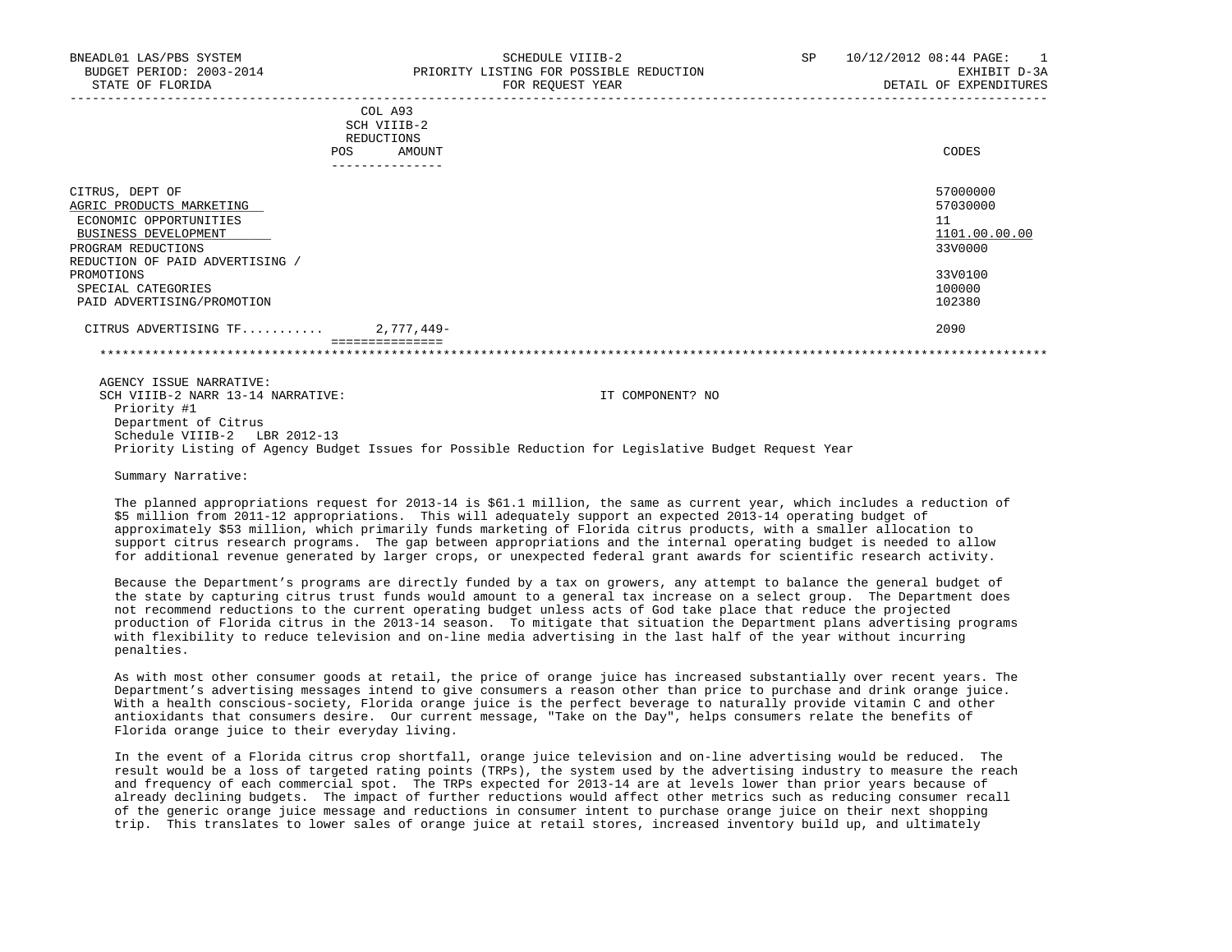| BNEADL01 LAS/PBS SYSTEM                                               | SCHEDULE VIIIB-2                                      | 10/12/2012 08:44 PAGE:<br>SP.<br>$\sim$ 1 |
|-----------------------------------------------------------------------|-------------------------------------------------------|-------------------------------------------|
| BUDGET PERIOD: 2003-2014                                              | PRIORITY LISTING FOR POSSIBLE REDUCTION               | EXHIBIT D-3A                              |
| STATE OF FLORIDA                                                      | FOR REOUEST YEAR                                      | DETAIL OF EXPENDITURES                    |
|                                                                       | COL A93<br>SCH VIIIB-2<br>REDUCTIONS<br>AMOUNT<br>POS | CODES                                     |
| CITRUS, DEPT OF<br>AGRIC PRODUCTS MARKETING<br>ECONOMIC OPPORTUNITIES |                                                       | 57000000<br>57030000<br>$-1$<br>ᆂᆂ        |

 $\frac{\text{BUSINESS DEVELOPMENT}}{ \text{ROGRAM RENDICTTIONS}} \qquad \qquad \frac{1101.00.00.00}{3300000}$ 

| SPECIAL CATEGORIES<br>PAID ADVERTISING/PROMOTION                            |                  | 100000<br>102380 |
|-----------------------------------------------------------------------------|------------------|------------------|
| CITRUS ADVERTISING TF                                                       | 2,777,449-       | 2090             |
|                                                                             |                  |                  |
| AGENCY ISSUE NARRATIVE:<br>SCH VIIIB-2 NARR 13-14 NARRATIVE:<br>Priority #1 | IT COMPONENT? NO |                  |

PROMOTIONS 33V0100

 Department of Citrus Schedule VIIIB-2 LBR 2012-13 Priority Listing of Agency Budget Issues for Possible Reduction for Legislative Budget Request Year

Summary Narrative:

REDUCTION OF PAID ADVERTISING /

PROGRAM REDUCTIONS

 The planned appropriations request for 2013-14 is \$61.1 million, the same as current year, which includes a reduction of \$5 million from 2011-12 appropriations. This will adequately support an expected 2013-14 operating budget of approximately \$53 million, which primarily funds marketing of Florida citrus products, with a smaller allocation to support citrus research programs. The gap between appropriations and the internal operating budget is needed to allow for additional revenue generated by larger crops, or unexpected federal grant awards for scientific research activity.

 Because the Department's programs are directly funded by a tax on growers, any attempt to balance the general budget of the state by capturing citrus trust funds would amount to a general tax increase on a select group. The Department does not recommend reductions to the current operating budget unless acts of God take place that reduce the projected production of Florida citrus in the 2013-14 season. To mitigate that situation the Department plans advertising programs with flexibility to reduce television and on-line media advertising in the last half of the year without incurring penalties.

 As with most other consumer goods at retail, the price of orange juice has increased substantially over recent years. The Department's advertising messages intend to give consumers a reason other than price to purchase and drink orange juice. With a health conscious-society, Florida orange juice is the perfect beverage to naturally provide vitamin C and other antioxidants that consumers desire. Our current message, "Take on the Day", helps consumers relate the benefits of Florida orange juice to their everyday living.

 In the event of a Florida citrus crop shortfall, orange juice television and on-line advertising would be reduced. The result would be a loss of targeted rating points (TRPs), the system used by the advertising industry to measure the reach and frequency of each commercial spot. The TRPs expected for 2013-14 are at levels lower than prior years because of already declining budgets. The impact of further reductions would affect other metrics such as reducing consumer recall of the generic orange juice message and reductions in consumer intent to purchase orange juice on their next shopping trip. This translates to lower sales of orange juice at retail stores, increased inventory build up, and ultimately